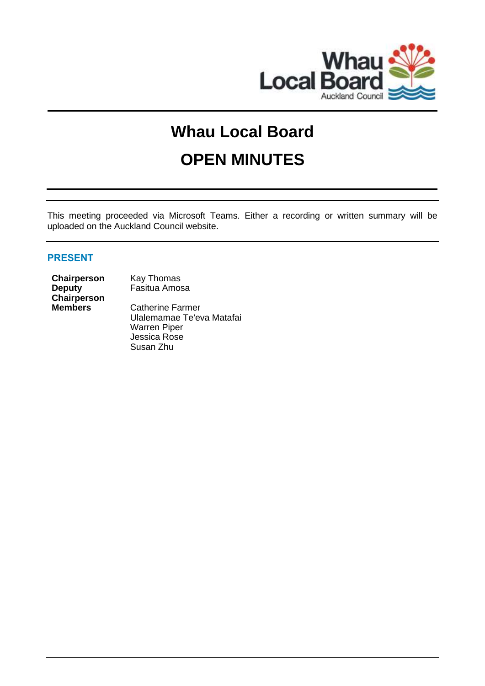

# **Whau Local Board**

# **OPEN MINUTES**

This meeting proceeded via Microsoft Teams. Either a recording or written summary will be uploaded on the Auckland Council website.

# **PRESENT**

**Chairperson** Kay Thomas **Deputy**  Chairperson<br>Members

Fasitua Amosa

**Catherine Farmer** Ulalemamae Te'eva Matafai Warren Piper Jessica Rose Susan Zhu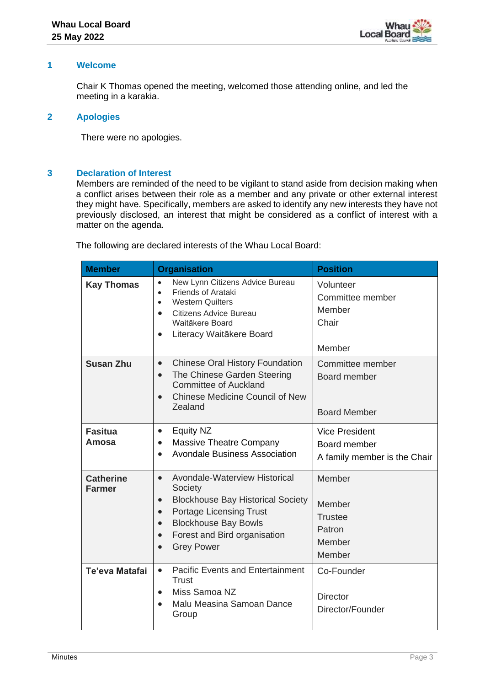

#### **1 Welcome**

Chair K Thomas opened the meeting, welcomed those attending online, and led the meeting in a karakia.

#### **2 Apologies**

There were no apologies.

## **3 Declaration of Interest**

Members are reminded of the need to be vigilant to stand aside from decision making when a conflict arises between their role as a member and any private or other external interest they might have. Specifically, members are asked to identify any new interests they have not previously disclosed, an interest that might be considered as a conflict of interest with a matter on the agenda.

The following are declared interests of the Whau Local Board:

| <b>Member</b>                     | <b>Organisation</b>                                                                                                                                                                                                                                                                      | <b>Position</b>                                                       |
|-----------------------------------|------------------------------------------------------------------------------------------------------------------------------------------------------------------------------------------------------------------------------------------------------------------------------------------|-----------------------------------------------------------------------|
| <b>Kay Thomas</b>                 | New Lynn Citizens Advice Bureau<br>$\bullet$<br>Friends of Arataki<br>$\bullet$<br><b>Western Quilters</b><br>$\bullet$<br>Citizens Advice Bureau<br>$\bullet$<br>Waitākere Board<br>Literacy Waitākere Board<br>$\bullet$                                                               | Volunteer<br>Committee member<br>Member<br>Chair<br>Member            |
| <b>Susan Zhu</b>                  | <b>Chinese Oral History Foundation</b><br>$\bullet$<br>The Chinese Garden Steering<br>$\bullet$<br><b>Committee of Auckland</b><br><b>Chinese Medicine Council of New</b><br>$\bullet$<br>Zealand                                                                                        | Committee member<br>Board member<br><b>Board Member</b>               |
| <b>Fasitua</b><br>Amosa           | Equity NZ<br>$\bullet$<br>Massive Theatre Company<br>$\bullet$<br><b>Avondale Business Association</b><br>$\bullet$                                                                                                                                                                      | <b>Vice President</b><br>Board member<br>A family member is the Chair |
| <b>Catherine</b><br><b>Farmer</b> | Avondale-Waterview Historical<br>$\bullet$<br>Society<br><b>Blockhouse Bay Historical Society</b><br>$\bullet$<br><b>Portage Licensing Trust</b><br>$\bullet$<br><b>Blockhouse Bay Bowls</b><br>$\bullet$<br>Forest and Bird organisation<br>$\bullet$<br><b>Grey Power</b><br>$\bullet$ | Member<br>Member<br><b>Trustee</b><br>Patron<br>Member<br>Member      |
| Te'eva Matafai                    | <b>Pacific Events and Entertainment</b><br>$\bullet$<br><b>Trust</b><br>Miss Samoa NZ<br>$\bullet$<br>Malu Measina Samoan Dance<br>$\bullet$<br>Group                                                                                                                                    | Co-Founder<br><b>Director</b><br>Director/Founder                     |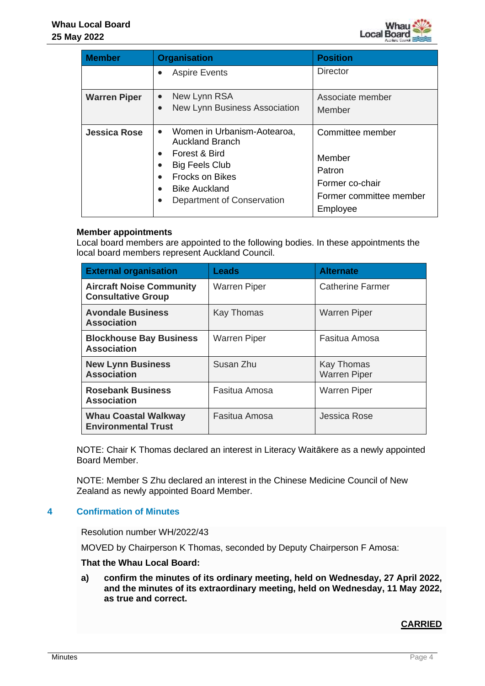| <b>Member</b>       | <b>Organisation</b>                                                                                                                                                                          | <b>Position</b>                                                                                |
|---------------------|----------------------------------------------------------------------------------------------------------------------------------------------------------------------------------------------|------------------------------------------------------------------------------------------------|
|                     | <b>Aspire Events</b>                                                                                                                                                                         | <b>Director</b>                                                                                |
| <b>Warren Piper</b> | New Lynn RSA<br>New Lynn Business Association                                                                                                                                                | Associate member<br>Member                                                                     |
| <b>Jessica Rose</b> | Women in Urbanism-Aotearoa,<br>$\bullet$<br><b>Auckland Branch</b><br>Forest & Bird<br><b>Big Feels Club</b><br><b>Frocks on Bikes</b><br><b>Bike Auckland</b><br>Department of Conservation | Committee member<br>Member<br>Patron<br>Former co-chair<br>Former committee member<br>Employee |

# **Member appointments**

Local board members are appointed to the following bodies. In these appointments the local board members represent Auckland Council.

| <b>External organisation</b>                                 | <b>Leads</b>        | <b>Alternate</b>                  |
|--------------------------------------------------------------|---------------------|-----------------------------------|
| <b>Aircraft Noise Community</b><br><b>Consultative Group</b> | <b>Warren Piper</b> | <b>Catherine Farmer</b>           |
| <b>Avondale Business</b><br><b>Association</b>               | Kay Thomas          | <b>Warren Piper</b>               |
| <b>Blockhouse Bay Business</b><br><b>Association</b>         | <b>Warren Piper</b> | Fasitua Amosa                     |
| <b>New Lynn Business</b><br><b>Association</b>               | Susan Zhu           | Kay Thomas<br><b>Warren Piper</b> |
| <b>Rosebank Business</b><br><b>Association</b>               | Fasitua Amosa       | <b>Warren Piper</b>               |
| <b>Whau Coastal Walkway</b><br><b>Environmental Trust</b>    | Fasitua Amosa       | Jessica Rose                      |

NOTE: Chair K Thomas declared an interest in Literacy Waitākere as a newly appointed Board Member.

NOTE: Member S Zhu declared an interest in the Chinese Medicine Council of New Zealand as newly appointed Board Member.

## **4 Confirmation of Minutes**

Resolution number WH/2022/43

MOVED by Chairperson K Thomas, seconded by Deputy Chairperson F Amosa:

**That the Whau Local Board:**

**a) confirm the minutes of its ordinary meeting, held on Wednesday, 27 April 2022, and the minutes of its extraordinary meeting, held on Wednesday, 11 May 2022, as true and correct.**

## **CARRIED**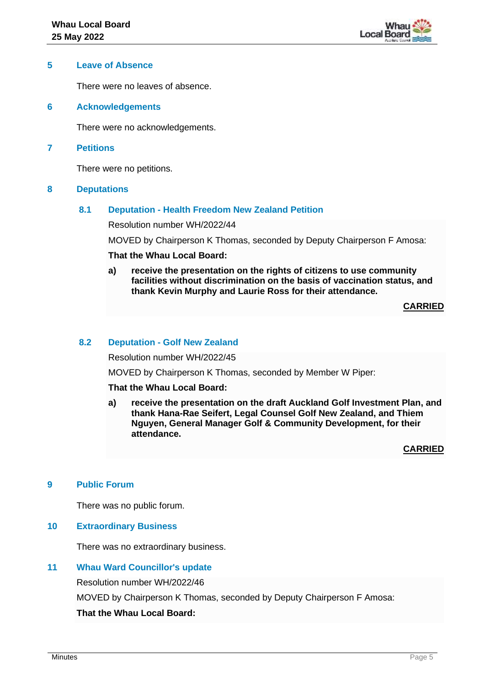

#### **5 Leave of Absence**

There were no leaves of absence.

**6 Acknowledgements**

There were no acknowledgements.

#### **7 Petitions**

There were no petitions.

#### **8 Deputations**

# **8.1 Deputation - Health Freedom New Zealand Petition**

Resolution number WH/2022/44

MOVED by Chairperson K Thomas, seconded by Deputy Chairperson F Amosa:

# **That the Whau Local Board:**

**a) receive the presentation on the rights of citizens to use community facilities without discrimination on the basis of vaccination status, and thank Kevin Murphy and Laurie Ross for their attendance.**

**CARRIED**

#### **8.2 Deputation - Golf New Zealand**

Resolution number WH/2022/45

MOVED by Chairperson K Thomas, seconded by Member W Piper:

#### **That the Whau Local Board:**

**a) receive the presentation on the draft Auckland Golf Investment Plan, and thank Hana-Rae Seifert, Legal Counsel Golf New Zealand, and Thiem Nguyen, General Manager Golf & Community Development, for their attendance.**

**CARRIED**

## **9 Public Forum**

There was no public forum.

#### **10 Extraordinary Business**

There was no extraordinary business.

## **11 Whau Ward Councillor's update**

Resolution number WH/2022/46

MOVED by Chairperson K Thomas, seconded by Deputy Chairperson F Amosa:

**That the Whau Local Board:**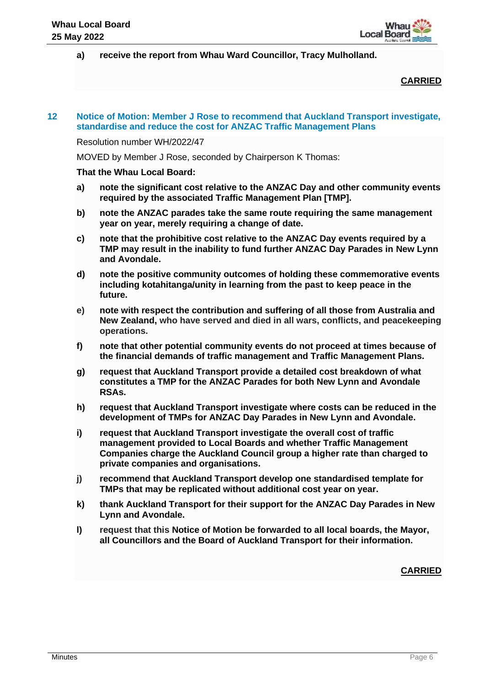**a) receive the report from Whau Ward Councillor, Tracy Mulholland.**

# **CARRIED**

## **12 Notice of Motion: Member J Rose to recommend that Auckland Transport investigate, standardise and reduce the cost for ANZAC Traffic Management Plans**

Resolution number WH/2022/47

MOVED by Member J Rose, seconded by Chairperson K Thomas:

#### **That the Whau Local Board:**

- **a) note the significant cost relative to the ANZAC Day and other community events required by the associated Traffic Management Plan [TMP].**
- **b) note the ANZAC parades take the same route requiring the same management year on year, merely requiring a change of date.**
- **c) note that the prohibitive cost relative to the ANZAC Day events required by a TMP may result in the inability to fund further ANZAC Day Parades in New Lynn and Avondale.**
- **d) note the positive community outcomes of holding these commemorative events including kotahitanga/unity in learning from the past to keep peace in the future.**
- **e) note with respect the contribution and suffering of all those from Australia and New Zealand, who have served and died in all wars, conflicts, and peacekeeping operations.**
- **f) note that other potential community events do not proceed at times because of the financial demands of traffic management and Traffic Management Plans.**
- **g) request that Auckland Transport provide a detailed cost breakdown of what constitutes a TMP for the ANZAC Parades for both New Lynn and Avondale RSAs.**
- **h) request that Auckland Transport investigate where costs can be reduced in the development of TMPs for ANZAC Day Parades in New Lynn and Avondale.**
- **i) request that Auckland Transport investigate the overall cost of traffic management provided to Local Boards and whether Traffic Management Companies charge the Auckland Council group a higher rate than charged to private companies and organisations.**
- **j) recommend that Auckland Transport develop one standardised template for TMPs that may be replicated without additional cost year on year.**
- **k) thank Auckland Transport for their support for the ANZAC Day Parades in New Lynn and Avondale.**
- **l) request that this Notice of Motion be forwarded to all local boards, the Mayor, all Councillors and the Board of Auckland Transport for their information.**

**CARRIED**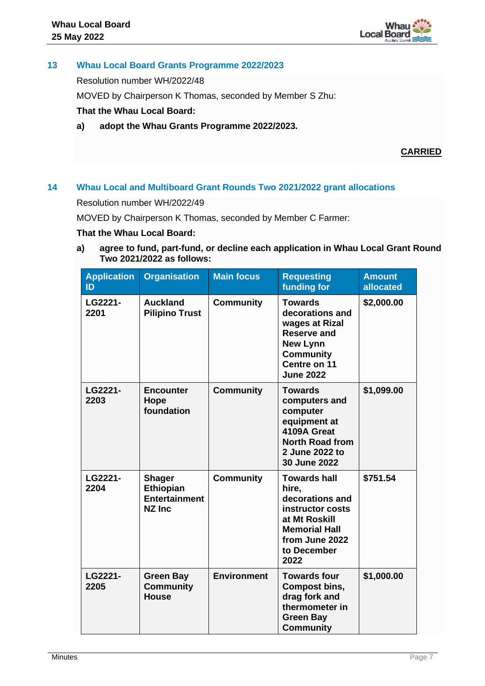# **13 Whau Local Board Grants Programme 2022/2023**

Resolution number WH/2022/48

MOVED by Chairperson K Thomas, seconded by Member S Zhu:

# **That the Whau Local Board:**

**a) adopt the Whau Grants Programme 2022/2023.**

# **CARRIED**

# **14 Whau Local and Multiboard Grant Rounds Two 2021/2022 grant allocations**

Resolution number WH/2022/49

MOVED by Chairperson K Thomas, seconded by Member C Farmer:

#### **That the Whau Local Board:**

**a) agree to fund, part-fund, or decline each application in Whau Local Grant Round Two 2021/2022 as follows:** 

| <b>Application</b><br>ID | <b>Organisation</b>                                                 | <b>Main focus</b>  | <b>Requesting</b><br>funding for                                                                                                                      | <b>Amount</b><br>allocated |
|--------------------------|---------------------------------------------------------------------|--------------------|-------------------------------------------------------------------------------------------------------------------------------------------------------|----------------------------|
| LG2221-<br>2201          | <b>Auckland</b><br><b>Pilipino Trust</b>                            | <b>Community</b>   | <b>Towards</b><br>decorations and<br>wages at Rizal<br><b>Reserve and</b><br><b>New Lynn</b><br><b>Community</b><br>Centre on 11<br><b>June 2022</b>  | \$2,000.00                 |
| LG2221-<br>2203          | <b>Encounter</b><br>Hope<br>foundation                              | <b>Community</b>   | <b>Towards</b><br>computers and<br>computer<br>equipment at<br>4109A Great<br><b>North Road from</b><br>2 June 2022 to<br>30 June 2022                | \$1,099.00                 |
| LG2221-<br>2204          | <b>Shager</b><br>Ethiopian<br><b>Entertainment</b><br><b>NZ Inc</b> | <b>Community</b>   | <b>Towards hall</b><br>hire.<br>decorations and<br>instructor costs<br>at Mt Roskill<br><b>Memorial Hall</b><br>from June 2022<br>to December<br>2022 | \$751.54                   |
| LG2221-<br>2205          | <b>Green Bay</b><br><b>Community</b><br><b>House</b>                | <b>Environment</b> | <b>Towards four</b><br>Compost bins,<br>drag fork and<br>thermometer in<br><b>Green Bay</b><br><b>Community</b>                                       | \$1,000.00                 |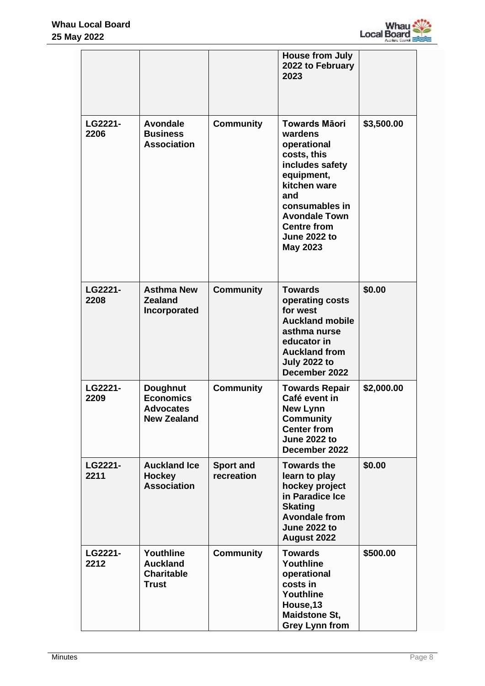

|                 |                                                                               |                                | <b>House from July</b><br>2022 to February<br>2023                                                                                                                                                                              |            |
|-----------------|-------------------------------------------------------------------------------|--------------------------------|---------------------------------------------------------------------------------------------------------------------------------------------------------------------------------------------------------------------------------|------------|
| LG2221-<br>2206 | <b>Avondale</b><br><b>Business</b><br><b>Association</b>                      | <b>Community</b>               | <b>Towards Māori</b><br>wardens<br>operational<br>costs, this<br>includes safety<br>equipment,<br>kitchen ware<br>and<br>consumables in<br><b>Avondale Town</b><br><b>Centre from</b><br><b>June 2022 to</b><br><b>May 2023</b> | \$3,500.00 |
| LG2221-<br>2208 | <b>Asthma New</b><br><b>Zealand</b><br>Incorporated                           | <b>Community</b>               | <b>Towards</b><br>operating costs<br>for west<br><b>Auckland mobile</b><br>asthma nurse<br>educator in<br><b>Auckland from</b><br><b>July 2022 to</b><br>December 2022                                                          | \$0.00     |
| LG2221-<br>2209 | <b>Doughnut</b><br><b>Economics</b><br><b>Advocates</b><br><b>New Zealand</b> | <b>Community</b>               | <b>Towards Repair</b><br>Café event in<br><b>New Lynn</b><br><b>Community</b><br><b>Center from</b><br><b>June 2022 to</b><br>December 2022                                                                                     | \$2,000.00 |
| LG2221-<br>2211 | <b>Auckland Ice</b><br><b>Hockey</b><br><b>Association</b>                    | <b>Sport and</b><br>recreation | <b>Towards the</b><br>learn to play<br>hockey project<br>in Paradice Ice<br><b>Skating</b><br><b>Avondale from</b><br><b>June 2022 to</b><br>August 2022                                                                        | \$0.00     |
| LG2221-<br>2212 | Youthline<br><b>Auckland</b><br><b>Charitable</b><br><b>Trust</b>             | <b>Community</b>               | <b>Towards</b><br>Youthline<br>operational<br>costs in<br>Youthline<br>House, 13<br><b>Maidstone St,</b><br><b>Grey Lynn from</b>                                                                                               | \$500.00   |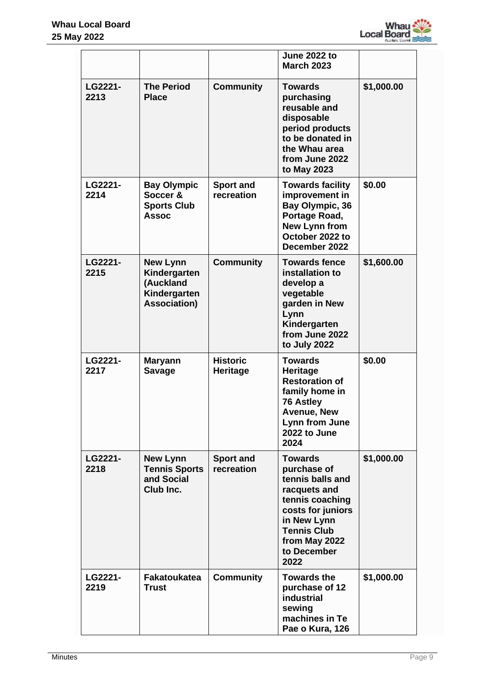

|                 |                                                                                     |                                | <b>June 2022 to</b><br><b>March 2023</b>                                                                                                                                               |            |
|-----------------|-------------------------------------------------------------------------------------|--------------------------------|----------------------------------------------------------------------------------------------------------------------------------------------------------------------------------------|------------|
| LG2221-<br>2213 | <b>The Period</b><br><b>Place</b>                                                   | <b>Community</b>               | <b>Towards</b><br>purchasing<br>reusable and<br>disposable<br>period products<br>to be donated in<br>the Whau area<br>from June 2022<br>to May 2023                                    | \$1,000.00 |
| LG2221-<br>2214 | <b>Bay Olympic</b><br>Soccer &<br><b>Sports Club</b><br><b>Assoc</b>                | <b>Sport and</b><br>recreation | <b>Towards facility</b><br>improvement in<br>Bay Olympic, 36<br>Portage Road,<br><b>New Lynn from</b><br>October 2022 to<br>December 2022                                              | \$0.00     |
| LG2221-<br>2215 | <b>New Lynn</b><br>Kindergarten<br>(Auckland<br>Kindergarten<br><b>Association)</b> | <b>Community</b>               | <b>Towards fence</b><br>installation to<br>develop a<br>vegetable<br>garden in New<br>Lynn<br>Kindergarten<br>from June 2022<br>to July 2022                                           | \$1,600.00 |
| LG2221-<br>2217 | <b>Maryann</b><br><b>Savage</b>                                                     | <b>Historic</b><br>Heritage    | <b>Towards</b><br>Heritage<br><b>Restoration of</b><br>family home in<br><b>76 Astley</b><br><b>Avenue, New</b><br>Lynn from June<br>2022 to June<br>2024                              | \$0.00     |
| LG2221-<br>2218 | <b>New Lynn</b><br><b>Tennis Sports</b><br>and Social<br>Club Inc.                  | <b>Sport and</b><br>recreation | <b>Towards</b><br>purchase of<br>tennis balls and<br>racquets and<br>tennis coaching<br>costs for juniors<br>in New Lynn<br><b>Tennis Club</b><br>from May 2022<br>to December<br>2022 | \$1,000.00 |
| LG2221-<br>2219 | <b>Fakatoukatea</b><br><b>Trust</b>                                                 | <b>Community</b>               | <b>Towards the</b><br>purchase of 12<br><b>industrial</b><br>sewing<br>machines in Te<br>Pae o Kura, 126                                                                               | \$1,000.00 |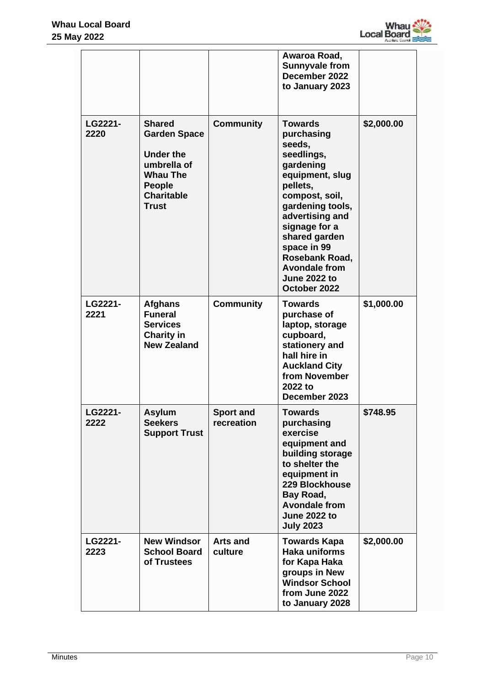

|                 |                                                                                                                                                  |                                | Awaroa Road,<br><b>Sunnyvale from</b><br>December 2022<br>to January 2023                                                                                                                                                                                                                   |            |
|-----------------|--------------------------------------------------------------------------------------------------------------------------------------------------|--------------------------------|---------------------------------------------------------------------------------------------------------------------------------------------------------------------------------------------------------------------------------------------------------------------------------------------|------------|
| LG2221-<br>2220 | <b>Shared</b><br><b>Garden Space</b><br><b>Under the</b><br>umbrella of<br><b>Whau The</b><br><b>People</b><br><b>Charitable</b><br><b>Trust</b> | <b>Community</b>               | <b>Towards</b><br>purchasing<br>seeds,<br>seedlings,<br>gardening<br>equipment, slug<br>pellets,<br>compost, soil,<br>gardening tools,<br>advertising and<br>signage for a<br>shared garden<br>space in 99<br>Rosebank Road,<br><b>Avondale from</b><br><b>June 2022 to</b><br>October 2022 | \$2,000.00 |
| LG2221-<br>2221 | <b>Afghans</b><br><b>Funeral</b><br><b>Services</b><br><b>Charity in</b><br><b>New Zealand</b>                                                   | <b>Community</b>               | <b>Towards</b><br>purchase of<br>laptop, storage<br>cupboard,<br>stationery and<br>hall hire in<br><b>Auckland City</b><br>from November<br>2022 to<br>December 2023                                                                                                                        | \$1,000.00 |
| LG2221-<br>2222 | <b>Asylum</b><br><b>Seekers</b><br><b>Support Trust</b>                                                                                          | <b>Sport and</b><br>recreation | <b>Towards</b><br>purchasing<br>exercise<br>equipment and<br>building storage<br>to shelter the<br>equipment in<br>229 Blockhouse<br>Bay Road,<br><b>Avondale from</b><br><b>June 2022 to</b><br><b>July 2023</b>                                                                           | \$748.95   |
| LG2221-<br>2223 | <b>New Windsor</b><br><b>School Board</b><br>of Trustees                                                                                         | <b>Arts and</b><br>culture     | <b>Towards Kapa</b><br><b>Haka uniforms</b><br>for Kapa Haka<br>groups in New<br><b>Windsor School</b><br>from June 2022<br>to January 2028                                                                                                                                                 | \$2,000.00 |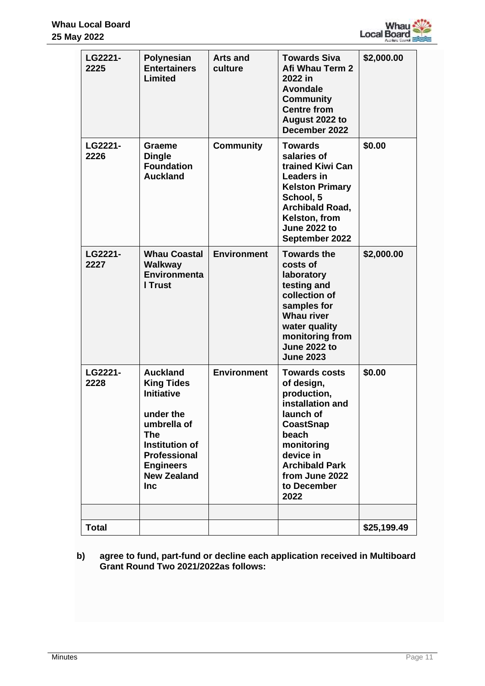

| <b>Community</b><br><b>Centre from</b><br>August 2022 to<br>December 2022                                                                                                                                                                                                                                                                                                                                                                                     |             |
|---------------------------------------------------------------------------------------------------------------------------------------------------------------------------------------------------------------------------------------------------------------------------------------------------------------------------------------------------------------------------------------------------------------------------------------------------------------|-------------|
| LG2221-<br><b>Community</b><br><b>Towards</b><br>Graeme<br>2226<br>salaries of<br><b>Dingle</b><br><b>Foundation</b><br>trained Kiwi Can<br><b>Auckland</b><br><b>Leaders in</b><br><b>Kelston Primary</b><br>School, 5<br><b>Archibald Road,</b><br>Kelston, from<br><b>June 2022 to</b><br>September 2022                                                                                                                                                   | \$0.00      |
| <b>Environment</b><br>LG2221-<br><b>Whau Coastal</b><br><b>Towards the</b><br>2227<br><b>Walkway</b><br>costs of<br><b>Environmenta</b><br>laboratory<br>I Trust<br>testing and<br>collection of<br>samples for<br><b>Whau river</b><br>water quality<br>monitoring from<br><b>June 2022 to</b><br><b>June 2023</b>                                                                                                                                           | \$2,000.00  |
| LG2221-<br><b>Environment</b><br><b>Auckland</b><br><b>Towards costs</b><br>2228<br><b>King Tides</b><br>of design,<br><b>Initiative</b><br>production,<br>installation and<br>under the<br>launch of<br><b>CoastSnap</b><br>umbrella of<br>beach<br><b>The</b><br>Institution of<br>monitoring<br><b>Professional</b><br>device in<br><b>Archibald Park</b><br><b>Engineers</b><br><b>New Zealand</b><br>from June 2022<br>to December<br><b>Inc</b><br>2022 | \$0.00      |
| <b>Total</b>                                                                                                                                                                                                                                                                                                                                                                                                                                                  | \$25,199.49 |

**b) agree to fund, part-fund or decline each application received in Multiboard Grant Round Two 2021/2022as follows:**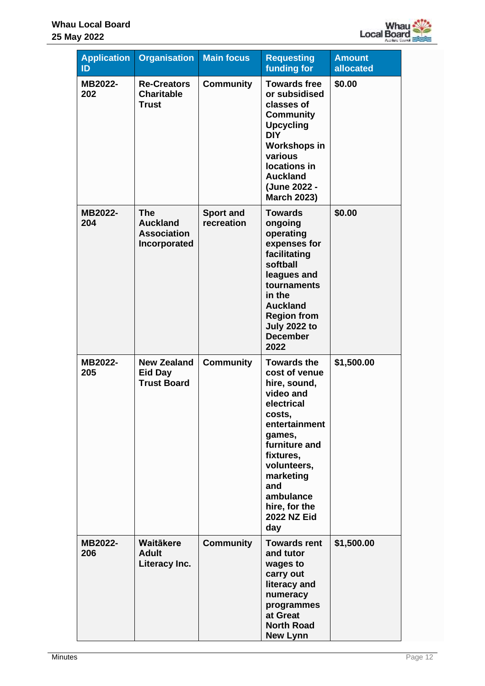

| <b>Application</b><br>ID | <b>Organisation</b>                                                 | <b>Main focus</b>              | <b>Requesting</b><br>funding for                                                                                                                                                                                                                | <b>Amount</b><br>allocated |
|--------------------------|---------------------------------------------------------------------|--------------------------------|-------------------------------------------------------------------------------------------------------------------------------------------------------------------------------------------------------------------------------------------------|----------------------------|
| MB2022-<br>202           | <b>Re-Creators</b><br><b>Charitable</b><br><b>Trust</b>             | <b>Community</b>               | <b>Towards free</b><br>or subsidised<br>classes of<br>Community<br><b>Upcycling</b><br><b>DIY</b><br>Workshops in<br>various<br>locations in<br><b>Auckland</b><br>(June 2022 -<br><b>March 2023)</b>                                           | \$0.00                     |
| MB2022-<br>204           | <b>The</b><br><b>Auckland</b><br><b>Association</b><br>Incorporated | <b>Sport and</b><br>recreation | <b>Towards</b><br>ongoing<br>operating<br>expenses for<br>facilitating<br>softball<br>leagues and<br>tournaments<br>in the<br><b>Auckland</b><br><b>Region from</b><br><b>July 2022 to</b><br><b>December</b><br>2022                           | \$0.00                     |
| MB2022-<br>205           | <b>New Zealand</b><br><b>Eid Day</b><br><b>Trust Board</b>          | <b>Community</b>               | <b>Towards the</b><br>cost of venue<br>hire, sound,<br>video and<br>electrical<br>costs,<br>entertainment<br>games,<br>furniture and<br>fixtures,<br>volunteers,<br>marketing<br>and<br>ambulance<br>hire, for the<br><b>2022 NZ Eid</b><br>day | \$1,500.00                 |
| MB2022-<br>206           | <b>Waitäkere</b><br><b>Adult</b><br>Literacy Inc.                   | <b>Community</b>               | <b>Towards rent</b><br>and tutor<br>wages to<br>carry out<br>literacy and<br>numeracy<br>programmes<br>at Great<br><b>North Road</b><br><b>New Lynn</b>                                                                                         | \$1,500.00                 |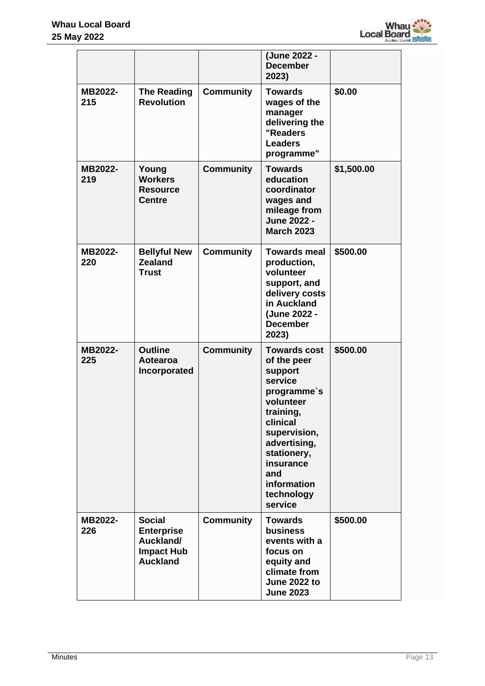

|                       |                                                                                         |                  | (June 2022 -<br><b>December</b><br>2023)                                                                                                                                                                                 |            |
|-----------------------|-----------------------------------------------------------------------------------------|------------------|--------------------------------------------------------------------------------------------------------------------------------------------------------------------------------------------------------------------------|------------|
| MB2022-<br>215        | <b>The Reading</b><br><b>Revolution</b>                                                 | <b>Community</b> | <b>Towards</b><br>wages of the<br>manager<br>delivering the<br>"Readers<br><b>Leaders</b><br>programme"                                                                                                                  | \$0.00     |
| MB2022-<br>219        | Young<br><b>Workers</b><br><b>Resource</b><br><b>Centre</b>                             | <b>Community</b> | <b>Towards</b><br>education<br>coordinator<br>wages and<br>mileage from<br>June 2022 -<br><b>March 2023</b>                                                                                                              | \$1,500.00 |
| MB2022-<br>220        | <b>Bellyful New</b><br><b>Zealand</b><br><b>Trust</b>                                   | <b>Community</b> | <b>Towards meal</b><br>production,<br>volunteer<br>support, and<br>delivery costs<br>in Auckland<br>(June 2022 -<br><b>December</b><br>2023)                                                                             | \$500.00   |
| MB2022-<br>225        | <b>Outline</b><br>Aotearoa<br>Incorporated                                              | <b>Community</b> | <b>Towards cost</b><br>of the peer<br>support<br>service<br>programme's<br>volunteer<br>training,<br>clinical<br>supervision,<br>advertising,<br>stationery,<br>insurance<br>and<br>information<br>technology<br>service | \$500.00   |
| <b>MB2022-</b><br>226 | <b>Social</b><br><b>Enterprise</b><br>Auckland/<br><b>Impact Hub</b><br><b>Auckland</b> | <b>Community</b> | <b>Towards</b><br><b>business</b><br>events with a<br>focus on<br>equity and<br>climate from<br><b>June 2022 to</b><br><b>June 2023</b>                                                                                  | \$500.00   |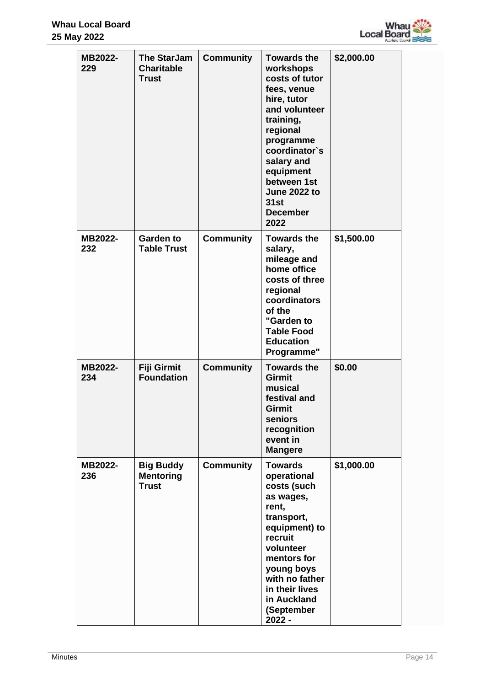

| MB2022-<br>229 | <b>The StarJam</b><br><b>Charitable</b><br><b>Trust</b> | <b>Community</b> | <b>Towards the</b><br>workshops<br>costs of tutor<br>fees, venue<br>hire, tutor<br>and volunteer<br>training,<br>regional<br>programme<br>coordinator's<br>salary and<br>equipment<br>between 1st<br><b>June 2022 to</b><br>31st<br><b>December</b><br>2022 | \$2,000.00 |
|----------------|---------------------------------------------------------|------------------|-------------------------------------------------------------------------------------------------------------------------------------------------------------------------------------------------------------------------------------------------------------|------------|
| MB2022-<br>232 | <b>Garden to</b><br><b>Table Trust</b>                  | <b>Community</b> | <b>Towards the</b><br>salary,<br>mileage and<br>home office<br>costs of three<br>regional<br>coordinators<br>of the<br>"Garden to<br><b>Table Food</b><br><b>Education</b><br>Programme"                                                                    | \$1,500.00 |
| MB2022-<br>234 | Fiji Girmit<br><b>Foundation</b>                        | <b>Community</b> | <b>Towards the</b><br><b>Girmit</b><br>musical<br>festival and<br><b>Girmit</b><br>seniors<br>recognition<br>event in<br><b>Mangere</b>                                                                                                                     | \$0.00     |
| MB2022-<br>236 | <b>Big Buddy</b><br><b>Mentoring</b><br><b>Trust</b>    | <b>Community</b> | <b>Towards</b><br>operational<br>costs (such<br>as wages,<br>rent,<br>transport,<br>equipment) to<br>recruit<br>volunteer<br>mentors for<br>young boys<br>with no father<br>in their lives<br>in Auckland<br>(September<br>2022 -                           | \$1,000.00 |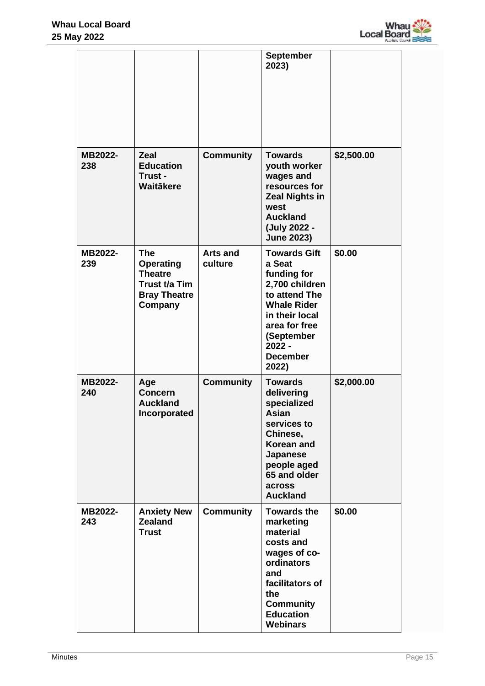

|                |                                                                                                     |                            | <b>September</b><br>2023)                                                                                                                                                                      |            |
|----------------|-----------------------------------------------------------------------------------------------------|----------------------------|------------------------------------------------------------------------------------------------------------------------------------------------------------------------------------------------|------------|
| MB2022-<br>238 | <b>Zeal</b><br><b>Education</b><br>Trust -<br>Waitākere                                             | <b>Community</b>           | <b>Towards</b><br>youth worker<br>wages and<br>resources for<br><b>Zeal Nights in</b><br>west<br><b>Auckland</b><br>(July 2022 -<br><b>June 2023)</b>                                          | \$2,500.00 |
| MB2022-<br>239 | <b>The</b><br><b>Operating</b><br><b>Theatre</b><br>Trust t/a Tim<br><b>Bray Theatre</b><br>Company | <b>Arts and</b><br>culture | <b>Towards Gift</b><br>a Seat<br>funding for<br>2,700 children<br>to attend The<br><b>Whale Rider</b><br>in their local<br>area for free<br>(September<br>$2022 -$<br><b>December</b><br>2022) | \$0.00     |
| MB2022-<br>240 | Age<br><b>Concern</b><br><b>Auckland</b><br>Incorporated                                            | <b>Community</b>           | <b>Towards</b><br>delivering<br>specialized<br>Asian<br>services to<br>Chinese,<br><b>Korean and</b><br><b>Japanese</b><br>people aged<br>65 and older<br>across<br><b>Auckland</b>            | \$2,000.00 |
| MB2022-<br>243 | <b>Anxiety New</b><br><b>Zealand</b><br><b>Trust</b>                                                | <b>Community</b>           | <b>Towards the</b><br>marketing<br>material<br>costs and<br>wages of co-<br>ordinators<br>and<br>facilitators of<br>the<br><b>Community</b><br><b>Education</b><br><b>Webinars</b>             | \$0.00     |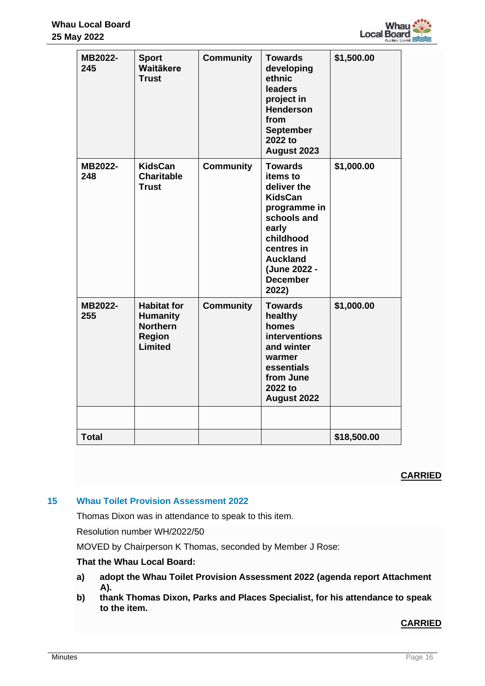

| MB2022-<br>245 | <b>Sport</b><br>Waitākere<br><b>Trust</b>                                            | <b>Community</b> | <b>Towards</b><br>developing<br>ethnic<br>leaders<br>project in<br><b>Henderson</b><br>from<br><b>September</b><br>2022 to<br>August 2023                                                     | \$1,500.00  |
|----------------|--------------------------------------------------------------------------------------|------------------|-----------------------------------------------------------------------------------------------------------------------------------------------------------------------------------------------|-------------|
| MB2022-<br>248 | <b>KidsCan</b><br><b>Charitable</b><br><b>Trust</b>                                  | <b>Community</b> | <b>Towards</b><br>items to<br>deliver the<br><b>KidsCan</b><br>programme in<br>schools and<br>early<br>childhood<br>centres in<br><b>Auckland</b><br>(June 2022 -<br><b>December</b><br>2022) | \$1,000.00  |
| MB2022-<br>255 | <b>Habitat for</b><br><b>Humanity</b><br><b>Northern</b><br><b>Region</b><br>Limited | <b>Community</b> | <b>Towards</b><br>healthy<br>homes<br>interventions<br>and winter<br>warmer<br>essentials<br>from June<br>2022 to<br>August 2022                                                              | \$1,000.00  |
|                |                                                                                      |                  |                                                                                                                                                                                               |             |
| <b>Total</b>   |                                                                                      |                  |                                                                                                                                                                                               | \$18,500.00 |

# **CARRIED**

## **15 Whau Toilet Provision Assessment 2022**

Thomas Dixon was in attendance to speak to this item.

Resolution number WH/2022/50

MOVED by Chairperson K Thomas, seconded by Member J Rose:

## **That the Whau Local Board:**

- **a) adopt the Whau Toilet Provision Assessment 2022 (agenda report Attachment A).**
- **b) thank Thomas Dixon, Parks and Places Specialist, for his attendance to speak to the item.**

# **CARRIED**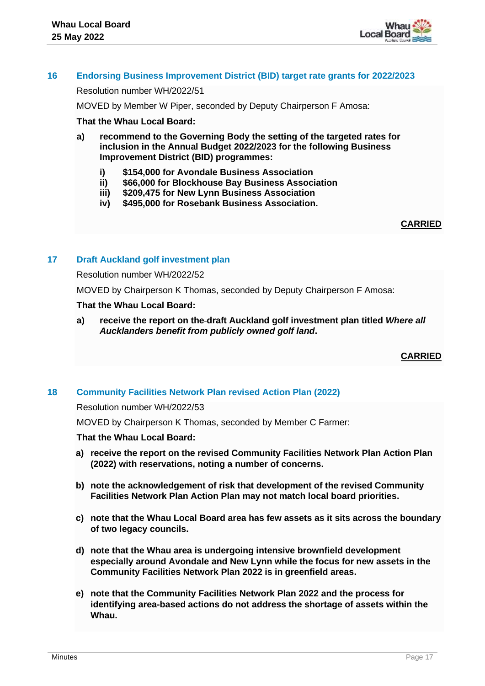

#### **16 Endorsing Business Improvement District (BID) target rate grants for 2022/2023**

Resolution number WH/2022/51

MOVED by Member W Piper, seconded by Deputy Chairperson F Amosa:

#### **That the Whau Local Board:**

- **a) recommend to the Governing Body the setting of the targeted rates for inclusion in the Annual Budget 2022/2023 for the following Business Improvement District (BID) programmes:**
	- **i) \$154,000 for Avondale Business Association**
	- **ii) \$66,000 for Blockhouse Bay Business Association**
	- **iii) \$209,475 for New Lynn Business Association**
	- **iv) \$495,000 for Rosebank Business Association.**

#### **CARRIED**

#### **17 Draft Auckland golf investment plan**

Resolution number WH/2022/52

MOVED by Chairperson K Thomas, seconded by Deputy Chairperson F Amosa:

#### **That the Whau Local Board:**

**a) receive the report on the draft Auckland golf investment plan titled** *Where all Aucklanders benefit from publicly owned golf land***.**

**CARRIED**

## **18 Community Facilities Network Plan revised Action Plan (2022)**

Resolution number WH/2022/53

MOVED by Chairperson K Thomas, seconded by Member C Farmer:

#### **That the Whau Local Board:**

- **a) receive the report on the revised Community Facilities Network Plan Action Plan (2022) with reservations, noting a number of concerns.**
- **b) note the acknowledgement of risk that development of the revised Community Facilities Network Plan Action Plan may not match local board priorities.**
- **c) note that the Whau Local Board area has few assets as it sits across the boundary of two legacy councils.**
- **d) note that the Whau area is undergoing intensive brownfield development especially around Avondale and New Lynn while the focus for new assets in the Community Facilities Network Plan 2022 is in greenfield areas.**
- **e) note that the Community Facilities Network Plan 2022 and the process for identifying area-based actions do not address the shortage of assets within the Whau.**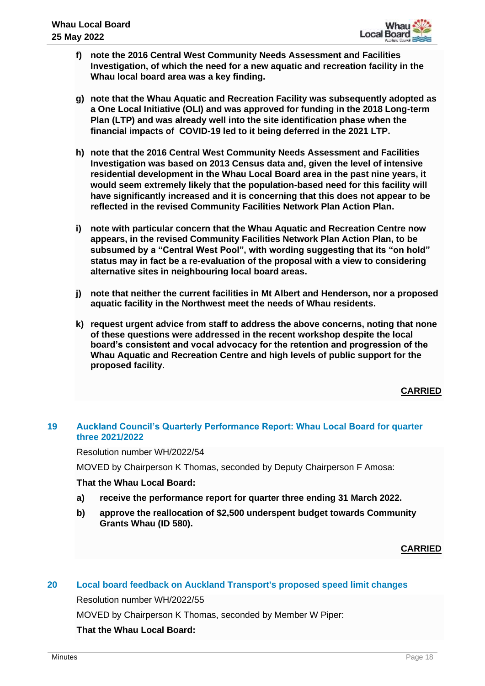- **f) note the 2016 Central West Community Needs Assessment and Facilities Investigation, of which the need for a new aquatic and recreation facility in the Whau local board area was a key finding.**
- **g) note that the Whau Aquatic and Recreation Facility was subsequently adopted as a One Local Initiative (OLI) and was approved for funding in the 2018 Long-term Plan (LTP) and was already well into the site identification phase when the financial impacts of COVID-19 led to it being deferred in the 2021 LTP.**
- **h) note that the 2016 Central West Community Needs Assessment and Facilities Investigation was based on 2013 Census data and, given the level of intensive residential development in the Whau Local Board area in the past nine years, it would seem extremely likely that the population-based need for this facility will have significantly increased and it is concerning that this does not appear to be reflected in the revised Community Facilities Network Plan Action Plan.**
- **i) note with particular concern that the Whau Aquatic and Recreation Centre now appears, in the revised Community Facilities Network Plan Action Plan, to be subsumed by a "Central West Pool", with wording suggesting that its "on hold" status may in fact be a re-evaluation of the proposal with a view to considering alternative sites in neighbouring local board areas.**
- **j) note that neither the current facilities in Mt Albert and Henderson, nor a proposed aquatic facility in the Northwest meet the needs of Whau residents.**
- **k) request urgent advice from staff to address the above concerns, noting that none of these questions were addressed in the recent workshop despite the local board's consistent and vocal advocacy for the retention and progression of the Whau Aquatic and Recreation Centre and high levels of public support for the proposed facility.**

**CARRIED**

# **19 Auckland Council's Quarterly Performance Report: Whau Local Board for quarter three 2021/2022**

Resolution number WH/2022/54

MOVED by Chairperson K Thomas, seconded by Deputy Chairperson F Amosa:

## **That the Whau Local Board:**

- **a) receive the performance report for quarter three ending 31 March 2022.**
- **b) approve the reallocation of \$2,500 underspent budget towards Community Grants Whau (ID 580).**

**CARRIED**

## **20 Local board feedback on Auckland Transport's proposed speed limit changes**

Resolution number WH/2022/55

MOVED by Chairperson K Thomas, seconded by Member W Piper:

#### **That the Whau Local Board:**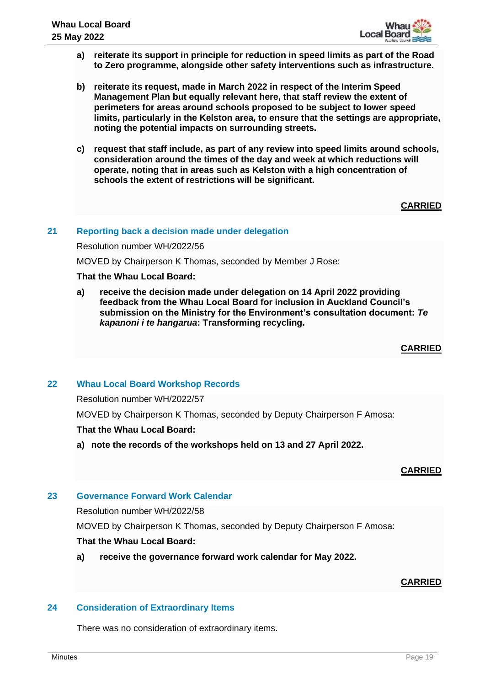

- **a) reiterate its support in principle for reduction in speed limits as part of the Road to Zero programme, alongside other safety interventions such as infrastructure.**
- **b) reiterate its request, made in March 2022 in respect of the Interim Speed Management Plan but equally relevant here, that staff review the extent of perimeters for areas around schools proposed to be subject to lower speed limits, particularly in the Kelston area, to ensure that the settings are appropriate, noting the potential impacts on surrounding streets.**
- **c) request that staff include, as part of any review into speed limits around schools, consideration around the times of the day and week at which reductions will operate, noting that in areas such as Kelston with a high concentration of schools the extent of restrictions will be significant.**

# **CARRIED**

## **21 Reporting back a decision made under delegation**

Resolution number WH/2022/56

MOVED by Chairperson K Thomas, seconded by Member J Rose:

#### **That the Whau Local Board:**

**a) receive the decision made under delegation on 14 April 2022 providing feedback from the Whau Local Board for inclusion in Auckland Council's submission on the Ministry for the Environment's consultation document:** *Te kapanoni i te hangarua***: Transforming recycling.**

## **CARRIED**

## **22 Whau Local Board Workshop Records**

Resolution number WH/2022/57

MOVED by Chairperson K Thomas, seconded by Deputy Chairperson F Amosa:

## **That the Whau Local Board:**

**a) note the records of the workshops held on 13 and 27 April 2022.**

## **CARRIED**

## **23 Governance Forward Work Calendar**

Resolution number WH/2022/58

MOVED by Chairperson K Thomas, seconded by Deputy Chairperson F Amosa:

## **That the Whau Local Board:**

**a) receive the governance forward work calendar for May 2022.**

# **CARRIED**

## **24 Consideration of Extraordinary Items**

There was no consideration of extraordinary items.